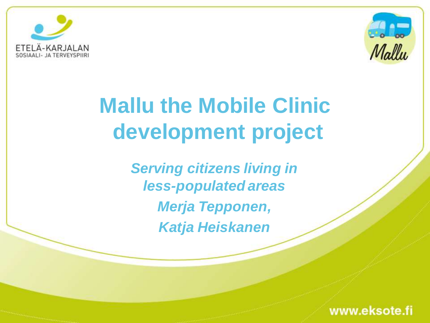



# **Mallu the Mobile Clinic development project**

*Serving citizens living in less-populated areas Merja Tepponen, Katja Heiskanen*

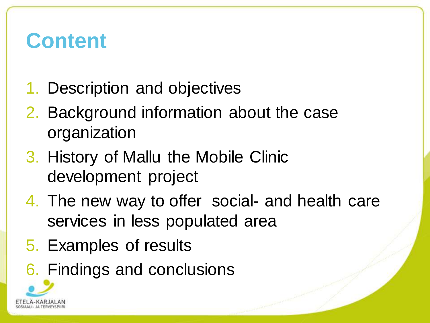#### **Content**

- 1. Description and objectives
- 2. Background information about the case organization
- 3. History of Mallu the Mobile Clinic development project
- 4. The new way to offer social- and health care services in less populated area
- 5. Examples of results
- 6. Findings and conclusions

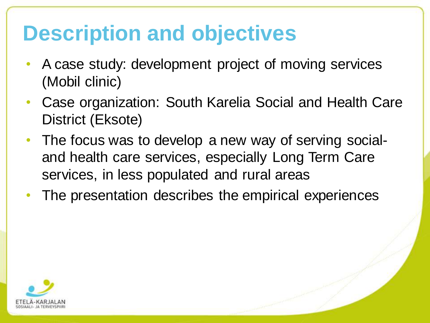#### **Description and objectives**

- A case study: development project of moving services (Mobil clinic)
- Case organization: South Karelia Social and Health Care District (Eksote)
- The focus was to develop a new way of serving socialand health care services, especially Long Term Care services, in less populated and rural areas
- The presentation describes the empirical experiences

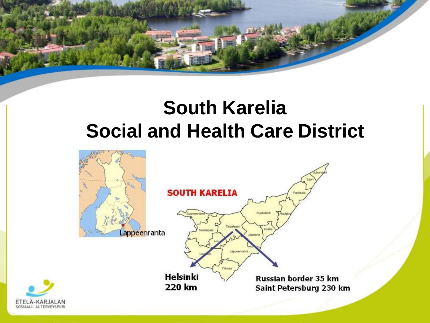

#### **South Karelia Social and Health Care District**



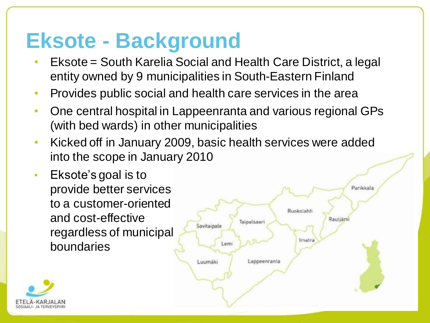#### **Eksote - Background**

- Eksote = South Karelia Social and Health Care District, a legal entity owned by 9 municipalities in South-Eastern Finland
- Provides public social and health care services in the area
- One central hospital in Lappeenranta and various regional GPs (with bed wards) in other municipalities
- Kicked off in January 2009, basic health services were added into the scope in January 2010
- Eksote's goal is to provide better services to a customer-oriented and cost-effective regardless of municipal boundaries



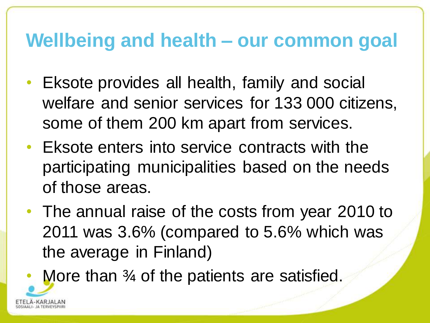#### **Wellbeing and health – our common goal**

- Eksote provides all health, family and social welfare and senior services for 133 000 citizens, some of them 200 km apart from services.
- Eksote enters into service contracts with the participating municipalities based on the needs of those areas.
- The annual raise of the costs from year 2010 to 2011 was 3.6% (compared to 5.6% which was the average in Finland)

More than <sup>3</sup>/4 of the patients are satisfied.

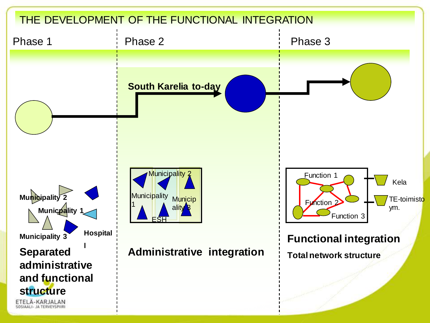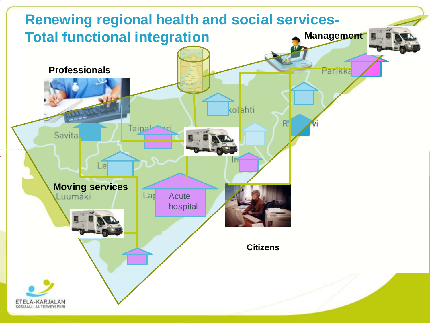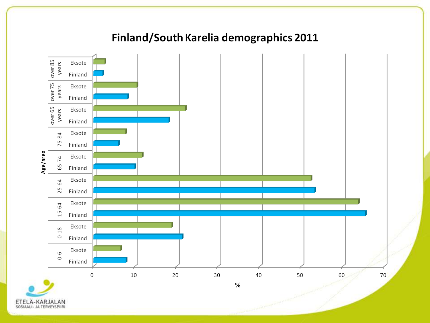#### Finland/South Karelia demographics 2011



A-KARJALAN ETEI SOSIAALI- JA TERVEYSPIIRI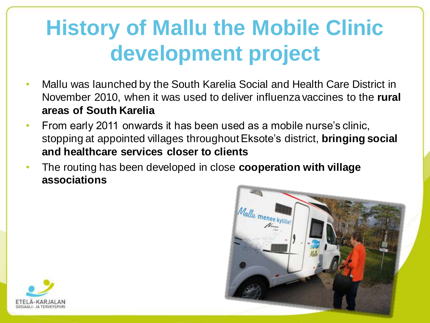# **History of Mallu the Mobile Clinic development project**

- Mallu was launched by the South Karelia Social and Health Care District in November 2010, when it was used to deliver influenza vaccines to the **rural areas of South Karelia**
- From early 2011 onwards it has been used as a mobile nurse's clinic, stopping at appointed villages throughout Eksote's district, **bringing social and healthcare services closer to clients**
- The routing has been developed in close **cooperation with village associations**



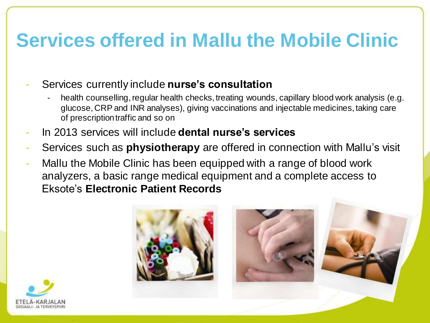#### **Services offered in Mallu the Mobile Clinic**

- Services currently include **nurse's consultation**
	- health counselling, regular health checks, treating wounds, capillary blood work analysis (e.g. glucose, CRP and INR analyses), giving vaccinations and injectable medicines, taking care of prescription traffic and so on
- In 2013 services will include **dental nurse's services**
- Services such as **physiotherapy** are offered in connection with Mallu's visit
- Mallu the Mobile Clinic has been equipped with a range of blood work analyzers, a basic range medical equipment and a complete access to Eksote's **Electronic Patient Records**



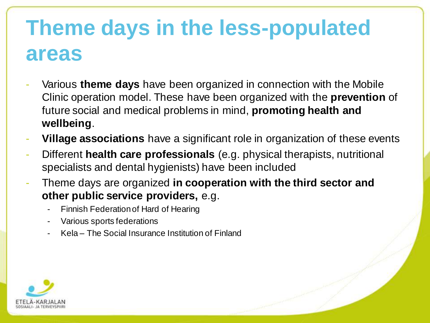## **Theme days in the less-populated areas**

- Various **theme days** have been organized in connection with the Mobile Clinic operation model. These have been organized with the **prevention** of future social and medical problems in mind, **promoting health and wellbeing**.
- **Village associations** have a significant role in organization of these events
- Different **health care professionals** (e.g. physical therapists, nutritional specialists and dental hygienists) have been included
- Theme days are organized **in cooperation with the third sector and other public service providers,** e.g.
	- Finnish Federation of Hard of Hearing
	- Various sports federations
	- Kela The Social Insurance Institution of Finland

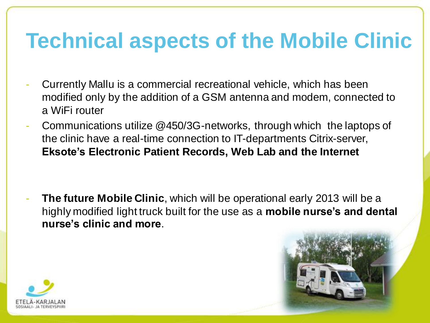### **Technical aspects of the Mobile Clinic**

- Currently Mallu is a commercial recreational vehicle, which has been modified only by the addition of a GSM antenna and modem, connected to a WiFi router
- Communications utilize @450/3G-networks, through which the laptops of the clinic have a real-time connection to IT-departments Citrix-server, **Eksote's Electronic Patient Records, Web Lab and the Internet**

**The future Mobile Clinic**, which will be operational early 2013 will be a highly modified light truck built for the use as a **mobile nurse's and dental nurse's clinic and more**.

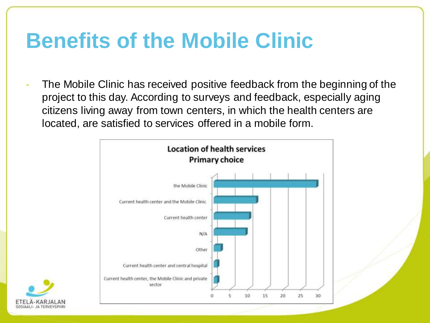### **Benefits of the Mobile Clinic**

The Mobile Clinic has received positive feedback from the beginning of the project to this day. According to surveys and feedback, especially aging citizens living away from town centers, in which the health centers are located, are satisfied to services offered in a mobile form.



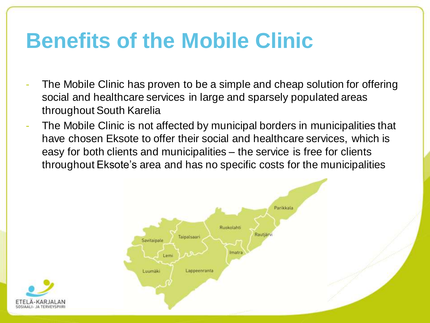### **Benefits of the Mobile Clinic**

- The Mobile Clinic has proven to be a simple and cheap solution for offering social and healthcare services in large and sparsely populated areas throughout South Karelia
- The Mobile Clinic is not affected by municipal borders in municipalities that have chosen Eksote to offer their social and healthcare services, which is easy for both clients and municipalities – the service is free for clients throughout Eksote's area and has no specific costs for the municipalities



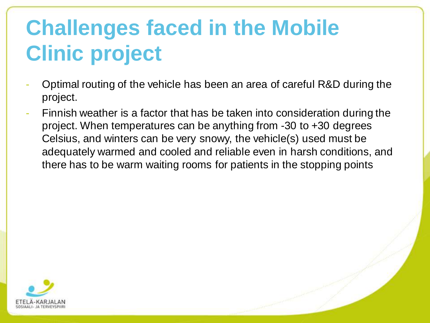# **Challenges faced in the Mobile Clinic project**

- Optimal routing of the vehicle has been an area of careful R&D during the project.
- Finnish weather is a factor that has be taken into consideration during the project. When temperatures can be anything from -30 to +30 degrees Celsius, and winters can be very snowy, the vehicle(s) used must be adequately warmed and cooled and reliable even in harsh conditions, and there has to be warm waiting rooms for patients in the stopping points

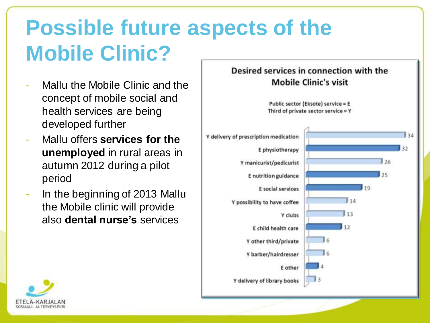# **Possible future aspects of the Mobile Clinic?**

- Mallu the Mobile Clinic and the concept of mobile social and health services are being developed further
- Mallu offers **services for the unemployed** in rural areas in autumn 2012 during a pilot period
- In the beginning of 2013 Mallu the Mobile clinic will provide also **dental nurse's** services



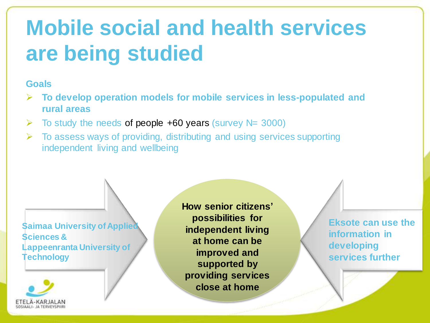## **Mobile social and health services are being studied**

#### **Goals**

- **To develop operation models for mobile services in less-populated and rural areas**
- $\triangleright$  To study the needs of people +60 years (survey N= 3000)
- $\triangleright$  To assess ways of providing, distributing and using services supporting independent living and wellbeing

**Saimaa University of Applied Sciences & Lappeenranta University of Technology**



**How senior citizens' possibilities for independent living at home can be improved and supported by providing services close at home**

**Eksote can use the information in developing services further**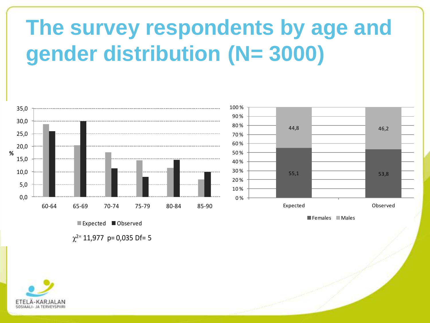# **The survey respondents by age and gender distribution (N= 3000)**



Females Males

Expected Observed

Expected **O**bserved<br> $\chi^{2=}$  11,977 p= 0,035 Df= 5

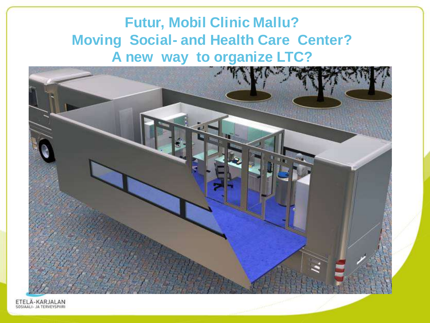#### **Futur, Mobil Clinic Mallu? Moving Social- and Health Care Center? A new way to organize LTC?**



ETELÄ-KARJALAN<br>SOSIAALI- JA TERVEYSPIIRI